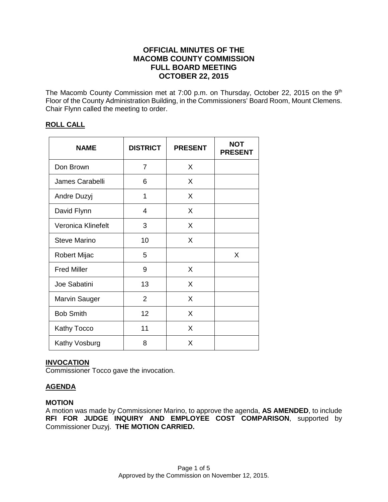# **OFFICIAL MINUTES OF THE MACOMB COUNTY COMMISSION FULL BOARD MEETING OCTOBER 22, 2015**

The Macomb County Commission met at 7:00 p.m. on Thursday, October 22, 2015 on the 9<sup>th</sup> Floor of the County Administration Building, in the Commissioners' Board Room, Mount Clemens. Chair Flynn called the meeting to order.

# **ROLL CALL**

| <b>NAME</b>          | <b>DISTRICT</b> | <b>PRESENT</b> | NOT<br><b>PRESENT</b> |
|----------------------|-----------------|----------------|-----------------------|
| Don Brown            | 7               | X              |                       |
| James Carabelli      | 6               | X              |                       |
| Andre Duzyj          | 1               | X              |                       |
| David Flynn          | 4               | X              |                       |
| Veronica Klinefelt   | 3               | X              |                       |
| <b>Steve Marino</b>  | 10              | X              |                       |
| Robert Mijac         | 5               |                | X                     |
| <b>Fred Miller</b>   | 9               | X              |                       |
| Joe Sabatini         | 13              | X              |                       |
| <b>Marvin Sauger</b> | $\overline{2}$  | X              |                       |
| <b>Bob Smith</b>     | 12              | X              |                       |
| <b>Kathy Tocco</b>   | 11              | X              |                       |
| Kathy Vosburg        | 8               | X              |                       |

# **INVOCATION**

Commissioner Tocco gave the invocation.

# **AGENDA**

# **MOTION**

A motion was made by Commissioner Marino, to approve the agenda, **AS AMENDED**, to include **RFI FOR JUDGE INQUIRY AND EMPLOYEE COST COMPARISON**, supported by Commissioner Duzyj. **THE MOTION CARRIED.**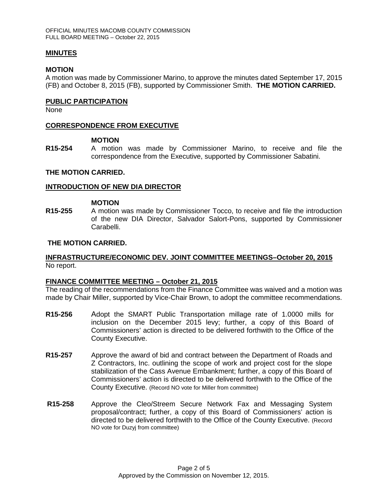## **MINUTES**

### **MOTION**

A motion was made by Commissioner Marino, to approve the minutes dated September 17, 2015 (FB) and October 8, 2015 (FB), supported by Commissioner Smith. **THE MOTION CARRIED.** 

### **PUBLIC PARTICIPATION**

None

## **CORRESPONDENCE FROM EXECUTIVE**

### **MOTION**

**R15-254** A motion was made by Commissioner Marino, to receive and file the correspondence from the Executive, supported by Commissioner Sabatini.

### **THE MOTION CARRIED.**

### **INTRODUCTION OF NEW DIA DIRECTOR**

#### **MOTION**

**R15-255** A motion was made by Commissioner Tocco, to receive and file the introduction of the new DIA Director, Salvador Salort-Pons, supported by Commissioner Carabelli.

### **THE MOTION CARRIED.**

## **INFRASTRUCTURE/ECONOMIC DEV. JOINT COMMITTEE MEETINGS–October 20, 2015** No report.

## **FINANCE COMMITTEE MEETING – October 21, 2015**

The reading of the recommendations from the Finance Committee was waived and a motion was made by Chair Miller, supported by Vice-Chair Brown, to adopt the committee recommendations.

- **R15-256** Adopt the SMART Public Transportation millage rate of 1.0000 mills for inclusion on the December 2015 levy; further, a copy of this Board of Commissioners' action is directed to be delivered forthwith to the Office of the County Executive.
- **R15-257** Approve the award of bid and contract between the Department of Roads and Z Contractors, Inc. outlining the scope of work and project cost for the slope stabilization of the Cass Avenue Embankment; further, a copy of this Board of Commissioners' action is directed to be delivered forthwith to the Office of the County Executive. (Record NO vote for Miller from committee)
- **R15-258** Approve the Cleo/Streem Secure Network Fax and Messaging System proposal/contract; further, a copy of this Board of Commissioners' action is directed to be delivered forthwith to the Office of the County Executive. (Record NO vote for Duzyj from committee)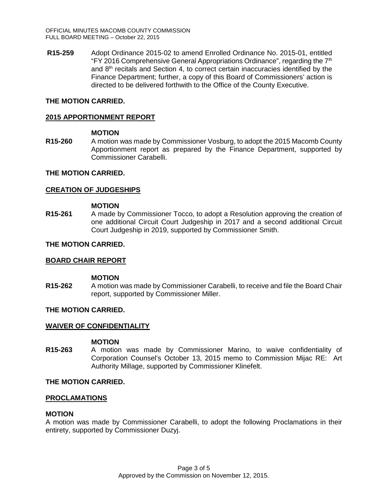**R15-259** Adopt Ordinance 2015-02 to amend Enrolled Ordinance No. 2015-01, entitled "FY 2016 Comprehensive General Appropriations Ordinance", regarding the  $7<sup>th</sup>$ and 8th recitals and Section 4, to correct certain inaccuracies identified by the Finance Department; further, a copy of this Board of Commissioners' action is directed to be delivered forthwith to the Office of the County Executive.

## **THE MOTION CARRIED.**

## **2015 APPORTIONMENT REPORT**

### **MOTION**

**R15-260** A motion was made by Commissioner Vosburg, to adopt the 2015 Macomb County Apportionment report as prepared by the Finance Department, supported by Commissioner Carabelli.

## **THE MOTION CARRIED.**

## **CREATION OF JUDGESHIPS**

### **MOTION**

**R15-261** A made by Commissioner Tocco, to adopt a Resolution approving the creation of one additional Circuit Court Judgeship in 2017 and a second additional Circuit Court Judgeship in 2019, supported by Commissioner Smith.

## **THE MOTION CARRIED.**

## **BOARD CHAIR REPORT**

#### **MOTION**

**R15-262** A motion was made by Commissioner Carabelli, to receive and file the Board Chair report, supported by Commissioner Miller.

## **THE MOTION CARRIED.**

## **WAIVER OF CONFIDENTIALITY**

## **MOTION**

**R15-263** A motion was made by Commissioner Marino, to waive confidentiality of Corporation Counsel's October 13, 2015 memo to Commission Mijac RE: Art Authority Millage, supported by Commissioner Klinefelt.

## **THE MOTION CARRIED.**

#### **PROCLAMATIONS**

## **MOTION**

A motion was made by Commissioner Carabelli, to adopt the following Proclamations in their entirety, supported by Commissioner Duzyj.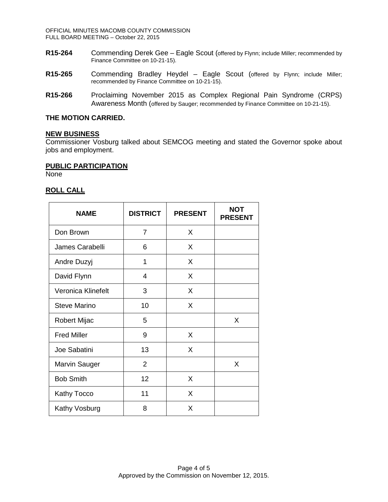OFFICIAL MINUTES MACOMB COUNTY COMMISSION FULL BOARD MEETING – October 22, 2015

- **R15-264** Commending Derek Gee Eagle Scout (offered by Flynn; include Miller; recommended by Finance Committee on 10-21-15).
- **R15-265** Commending Bradley Heydel Eagle Scout (offered by Flynn; include Miller; recommended by Finance Committee on 10-21-15).
- **R15-266** Proclaiming November 2015 as Complex Regional Pain Syndrome (CRPS) Awareness Month (offered by Sauger; recommended by Finance Committee on 10-21-15).

### **THE MOTION CARRIED.**

#### **NEW BUSINESS**

Commissioner Vosburg talked about SEMCOG meeting and stated the Governor spoke about jobs and employment.

### **PUBLIC PARTICIPATION**

None

## **ROLL CALL**

| <b>NAME</b>          | <b>DISTRICT</b> | <b>PRESENT</b> | <b>NOT</b><br><b>PRESENT</b> |
|----------------------|-----------------|----------------|------------------------------|
| Don Brown            | $\overline{7}$  | X              |                              |
| James Carabelli      | 6               | X              |                              |
| Andre Duzyj          | 1               | X              |                              |
| David Flynn          | 4               | X              |                              |
| Veronica Klinefelt   | 3               | X              |                              |
| <b>Steve Marino</b>  | 10              | X              |                              |
| Robert Mijac         | 5               |                | X                            |
| <b>Fred Miller</b>   | 9               | X              |                              |
| Joe Sabatini         | 13              | X              |                              |
| <b>Marvin Sauger</b> | $\overline{2}$  |                | X                            |
| <b>Bob Smith</b>     | 12              | X              |                              |
| <b>Kathy Tocco</b>   | 11              | X              |                              |
| Kathy Vosburg        | 8               | X              |                              |